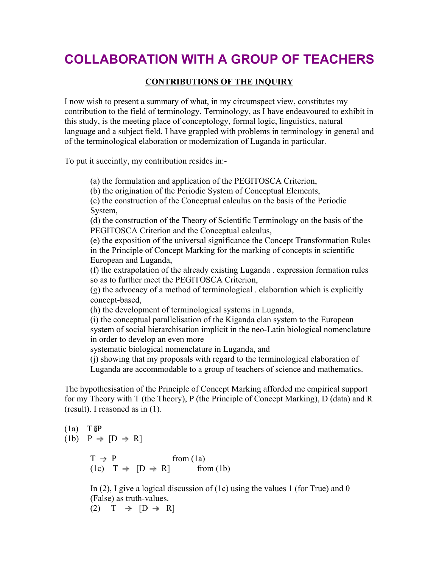## **COLLABORATION WITH A GROUP OF TEACHERS**

## **CONTRIBUTIONS OF THE INQUIRY**

I now wish to present a summary of what, in my circumspect view, constitutes my contribution to the field of terminology. Terminology, as I have endeavoured to exhibit in this study, is the meeting place of conceptology, formal logic, linguistics, natural language and a subject field. I have grappled with problems in terminology in general and of the terminological elaboration or modernization of Luganda in particular.

To put it succintly, my contribution resides in:-

(a) the formulation and application of the PEGITOSCA Criterion,

(b) the origination of the Periodic System of Conceptual Elements,

(c) the construction of the Conceptual calculus on the basis of the Periodic System,

(d) the construction of the Theory of Scientific Terminology on the basis of the PEGITOSCA Criterion and the Conceptual calculus,

(e) the exposition of the universal significance the Concept Transformation Rules in the Principle of Concept Marking for the marking of concepts in scientific European and Luganda,

(f) the extrapolation of the already existing Luganda . expression formation rules so as to further meet the PEGITOSCA Criterion,

(g) the advocacy of a method of terminological . elaboration which is explicitly concept-based,

(h) the development of terminological systems in Luganda,

(i) the conceptual parallelisation of the Kiganda clan system to the European system of social hierarchisation implicit in the neo-Latin biological nomenclature in order to develop an even more

systematic biological nomenclature in Luganda, and

(j) showing that my proposals with regard to the terminological elaboration of Luganda are accommodable to a group of teachers of science and mathematics.

The hypothesisation of the Principle of Concept Marking afforded me empirical support for my Theory with T (the Theory), P (the Principle of Concept Marking), D (data) and R (result). I reasoned as in (1).

(1a) T 
$$
\delta P
$$
  
\n(1b) P  $\rightarrow$  [D  $\rightarrow$  R]  
\nT  $\rightarrow$  P  
\n(1c) T  $\rightarrow$  [D  $\rightarrow$  R] from (1a)  
\nfrom (1b)

In (2), I give a logical discussion of (1c) using the values 1 (for True) and 0 (False) as truth-values. (2)  $T \rightarrow [D \rightarrow R]$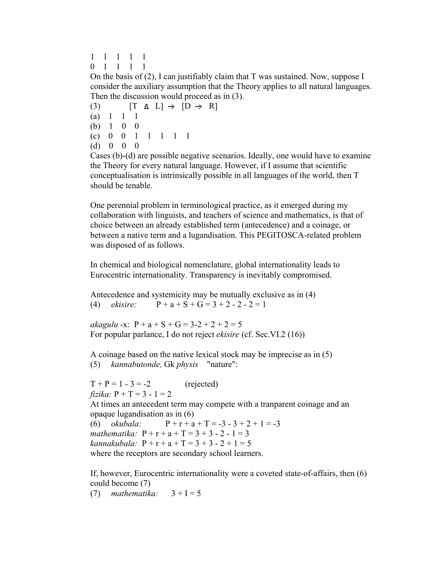- 1 1 1 1 1
- 0 1 1 1 1

On the basis of (2), I can justifiably claim that T was sustained. Now, suppose I consider the auxiliary assumption that the Theory applies to all natural languages. Then the discussion would proceed as in (3).

(3)  $[T \land L] \rightarrow [D \rightarrow R]$ (a) 1 1 1 (b) 1 0 0 (c) 0 0 1 1 1 1 1 (d) 0 0 0

Cases (b)-(d) are possible negative scenarios. Ideally, one would have to examine the Theory for every natural language. However, if I assume that scientific conceptualisation is intrinsically possible in all languages of the world, then T should be tenable.

One perennial problem in terminological practice, as it emerged during my collaboration with linguists, and teachers of science and mathematics, is that of choice between an already established term (antecedence) and a coinage, or between a native term and a lugandisation. This PEGITOSCA-related problem was disposed of as follows.

In chemical and biological nomenclature, global internationality leads to Eurocentric internationality. Transparency is inevitably compromised.

Antecedence and systemicity may be mutually exclusive as in (4) (4) *ekisire*:  $P + a + S + G = 3 + 2 - 2 - 2 = 1$ 

*akagulu* -x:  $P + a + S + G = 3-2+2+2=5$ For popular parlance, I do not reject *ekisire* (cf. Sec.VI.2 (16))

A coinage based on the native lexical stock may be imprecise as in (5) (5) *kannabutonde,* Gk *physis* "nature":

```
T + P = 1 - 3 = -2 (rejected)
fizika: P + T = 3 - 1 = 2 
At times an antecedent term may compete with a tranparent coinage and an 
opaque lugandisation as in (6) 
(6) okubala: P + r + a + T = -3 - 3 + 2 + 1 = -3mathematika: P + r + a + T = 3 + 3 - 2 - 1 = 3kannakubala: P + r + a + T = 3 + 3 - 2 + 1 = 5where the receptors are secondary school learners.
```
If, however, Eurocentric internationality were a coveted state-of-affairs, then (6) could become (7)

(7) *mathematika*:  $3 + I = 5$